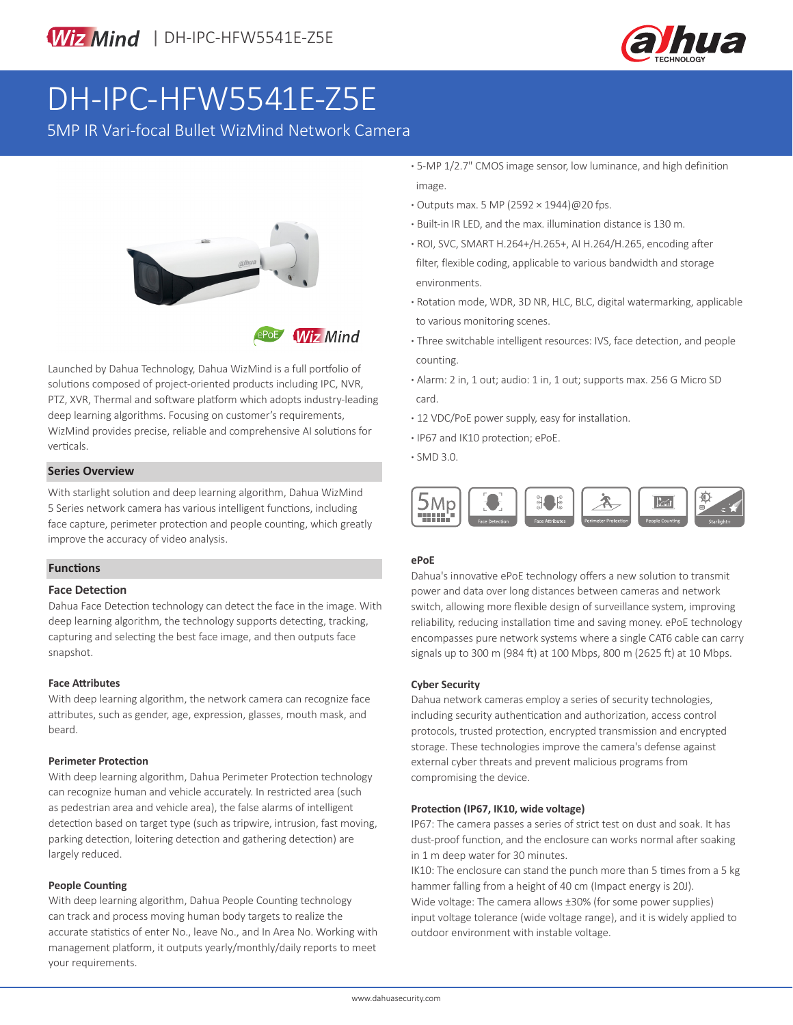

# DH-IPC-HFW5541E-Z5E

5MP IR Vari-focal Bullet WizMind Network Camera



**Wiz Mind** 

Launched by Dahua Technology, Dahua WizMind is a full portfolio of solutions composed of project-oriented products including IPC, NVR, PTZ, XVR, Thermal and software platform which adopts industry-leading deep learning algorithms. Focusing on customer's requirements, WizMind provides precise, reliable and comprehensive AI solutions for verticals.

#### **Series Overview**

With starlight solution and deep learning algorithm, Dahua WizMind 5 Series network camera has various intelligent functions, including face capture, perimeter protection and people counting, which greatly improve the accuracy of video analysis.

#### **Functions**

#### **Face Detection**

Dahua Face Detection technology can detect the face in the image. With deep learning algorithm, the technology supports detecting, tracking, capturing and selecting the best face image, and then outputs face snapshot.

#### **Face Attributes**

With deep learning algorithm, the network camera can recognize face attributes, such as gender, age, expression, glasses, mouth mask, and beard.

#### **Perimeter Protection**

With deep learning algorithm, Dahua Perimeter Protection technology can recognize human and vehicle accurately. In restricted area (such as pedestrian area and vehicle area), the false alarms of intelligent detection based on target type (such as tripwire, intrusion, fast moving, parking detection, loitering detection and gathering detection) are largely reduced.

#### **People Counting**

With deep learning algorithm, Dahua People Counting technology can track and process moving human body targets to realize the accurate statistics of enter No., leave No., and In Area No. Working with management platform, it outputs yearly/monthly/daily reports to meet your requirements.

- **·** 5-MP 1/2.7" CMOS image sensor, low luminance, and high definition image.
- **·** Outputs max. 5 MP (2592 × 1944)@20 fps.
- **·** Built-in IR LED, and the max. illumination distance is 130 m.
- **·** ROI, SVC, SMART H.264+/H.265+, AI H.264/H.265, encoding after filter, flexible coding, applicable to various bandwidth and storage environments.
- **·** Rotation mode, WDR, 3D NR, HLC, BLC, digital watermarking, applicable to various monitoring scenes.
- **·** Three switchable intelligent resources: IVS, face detection, and people counting.
- **·** Alarm: 2 in, 1 out; audio: 1 in, 1 out; supports max. 256 G Micro SD card.
- **·** 12 VDC/PoE power supply, easy for installation.
- **·** IP67 and IK10 protection; ePoE.
- **·** SMD 3.0.



#### **ePoE**

Dahua's innovative ePoE technology offers a new solution to transmit power and data over long distances between cameras and network switch, allowing more flexible design of surveillance system, improving reliability, reducing installation time and saving money. ePoE technology encompasses pure network systems where a single CAT6 cable can carry signals up to 300 m (984 ft) at 100 Mbps, 800 m (2625 ft) at 10 Mbps.

#### **Cyber Security**

Dahua network cameras employ a series of security technologies, including security authentication and authorization, access control protocols, trusted protection, encrypted transmission and encrypted storage. These technologies improve the camera's defense against external cyber threats and prevent malicious programs from compromising the device.

#### **Protection (IP67, IK10, wide voltage)**

IP67: The camera passes a series of strict test on dust and soak. It has dust-proof function, and the enclosure can works normal after soaking in 1 m deep water for 30 minutes.

IK10: The enclosure can stand the punch more than 5 times from a 5 kg hammer falling from a height of 40 cm (Impact energy is 20J). Wide voltage: The camera allows ±30% (for some power supplies) input voltage tolerance (wide voltage range), and it is widely applied to outdoor environment with instable voltage.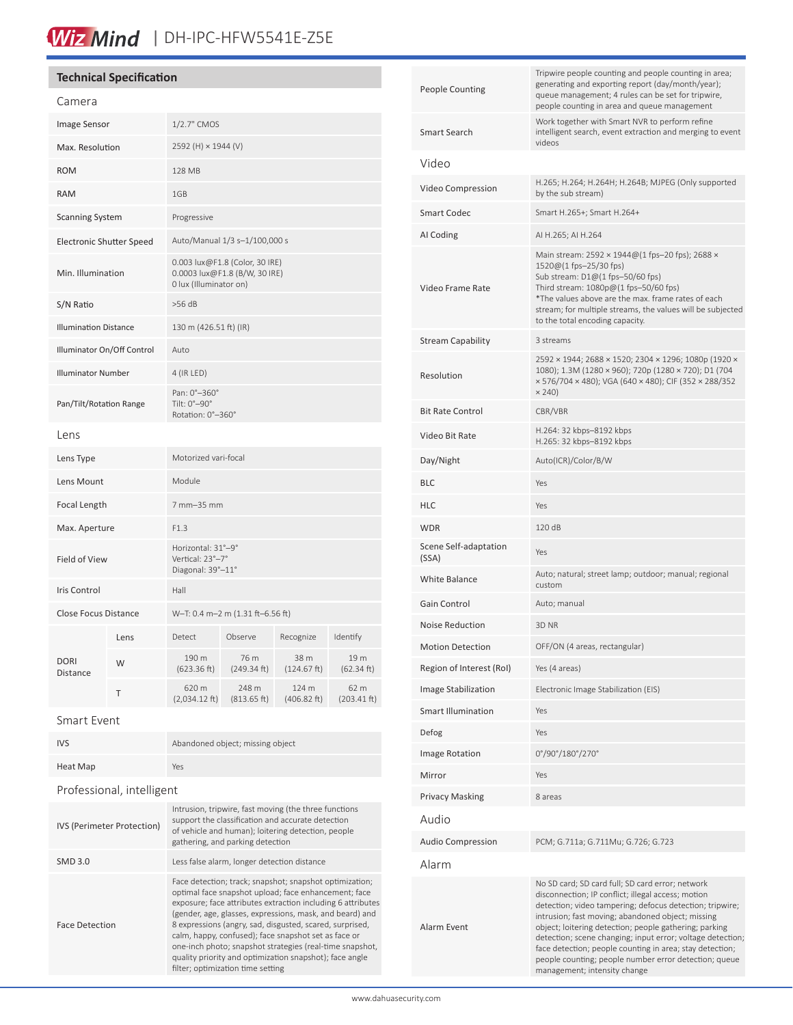# Wiz Mind | DH-IPC-HFW5541E-Z5E

### **Technical Specification**

| 1/2.7" CMOS                                                 |                                                                                           |                      |                     |
|-------------------------------------------------------------|-------------------------------------------------------------------------------------------|----------------------|---------------------|
|                                                             | 2592 (H) × 1944 (V)                                                                       |                      |                     |
| <b>128 MB</b>                                               |                                                                                           |                      |                     |
| 1GB                                                         |                                                                                           |                      |                     |
| Progressive                                                 |                                                                                           |                      |                     |
|                                                             | Auto/Manual 1/3 s-1/100,000 s                                                             |                      |                     |
|                                                             | 0.003 lux@F1.8 (Color, 30 IRE)<br>0.0003 lux@F1.8 (B/W, 30 IRE)<br>0 lux (Illuminator on) |                      |                     |
| $>56$ dB                                                    |                                                                                           |                      |                     |
| 130 m (426.51 ft) (IR)                                      |                                                                                           |                      |                     |
| Auto                                                        |                                                                                           |                      |                     |
| 4 (IR LED)                                                  |                                                                                           |                      |                     |
| Pan: 0°-360°<br>Tilt: 0°-90°<br>Rotation: 0°-360°           |                                                                                           |                      |                     |
|                                                             |                                                                                           |                      |                     |
| Motorized vari-focal                                        |                                                                                           |                      |                     |
| Module                                                      |                                                                                           |                      |                     |
| 7 mm-35 mm                                                  |                                                                                           |                      |                     |
| F1.3                                                        |                                                                                           |                      |                     |
| Horizontal: 31°-9°<br>Vertical: 23°-7°<br>Diagonal: 39°-11° |                                                                                           |                      |                     |
| Hall                                                        |                                                                                           |                      |                     |
| W-T: 0.4 m-2 m (1.31 ft-6.56 ft)                            |                                                                                           |                      |                     |
| Detect                                                      | Observe                                                                                   | Recognize            | Identify            |
| 190 m<br>(623.36 ft)                                        | 76 m<br>(249.34 ft)                                                                       | 38 m<br>(124.67 ft)  | 19 m<br>(62.34 ft)  |
| 620 m<br>$(2,034.12$ ft)                                    | 248 m<br>(813.65 ft)                                                                      | 124 m<br>(406.82 ft) | 62 m<br>(203.41 ft) |
|                                                             |                                                                                           |                      |                     |

#### Smart Event

| <b>IVS</b>                 | Abandoned object; missing object                                                                                                                                                                                                                                                                                                                                                                                                                                                                                           |  |  |  |
|----------------------------|----------------------------------------------------------------------------------------------------------------------------------------------------------------------------------------------------------------------------------------------------------------------------------------------------------------------------------------------------------------------------------------------------------------------------------------------------------------------------------------------------------------------------|--|--|--|
| Heat Map                   | Yes                                                                                                                                                                                                                                                                                                                                                                                                                                                                                                                        |  |  |  |
| Professional, intelligent  |                                                                                                                                                                                                                                                                                                                                                                                                                                                                                                                            |  |  |  |
| IVS (Perimeter Protection) | Intrusion, tripwire, fast moving (the three functions<br>support the classification and accurate detection<br>of vehicle and human); loitering detection, people<br>gathering, and parking detection                                                                                                                                                                                                                                                                                                                       |  |  |  |
| <b>SMD 3.0</b>             | Less false alarm, longer detection distance                                                                                                                                                                                                                                                                                                                                                                                                                                                                                |  |  |  |
| <b>Face Detection</b>      | Face detection; track; snapshot; snapshot optimization;<br>optimal face snapshot upload; face enhancement; face<br>exposure; face attributes extraction including 6 attributes<br>(gender, age, glasses, expressions, mask, and beard) and<br>8 expressions (angry, sad, disgusted, scared, surprised,<br>calm, happy, confused); face snapshot set as face or<br>one-inch photo; snapshot strategies (real-time snapshot,<br>quality priority and optimization snapshot); face angle<br>filter; optimization time setting |  |  |  |

| People Counting                | Tripwire people counting and people counting in area;<br>generating and exporting report (day/month/year);<br>queue management; 4 rules can be set for tripwire,<br>people counting in area and queue management                                                                                                                                                                                                                                                                                     |  |
|--------------------------------|------------------------------------------------------------------------------------------------------------------------------------------------------------------------------------------------------------------------------------------------------------------------------------------------------------------------------------------------------------------------------------------------------------------------------------------------------------------------------------------------------|--|
| Smart Search                   | Work together with Smart NVR to perform refine<br>intelligent search, event extraction and merging to event<br>videos                                                                                                                                                                                                                                                                                                                                                                                |  |
| Video                          |                                                                                                                                                                                                                                                                                                                                                                                                                                                                                                      |  |
| Video Compression              | H.265; H.264; H.264H; H.264B; MJPEG (Only supported<br>by the sub stream)                                                                                                                                                                                                                                                                                                                                                                                                                            |  |
| <b>Smart Codec</b>             | Smart H.265+; Smart H.264+                                                                                                                                                                                                                                                                                                                                                                                                                                                                           |  |
| AI Coding                      | AI H.265; AI H.264                                                                                                                                                                                                                                                                                                                                                                                                                                                                                   |  |
| Video Frame Rate               | Main stream: 2592 $\times$ 1944@ (1 fps-20 fps); 2688 $\times$<br>1520@(1 fps-25/30 fps)<br>Sub stream: D1@(1 fps-50/60 fps)<br>Third stream: 1080p@(1 fps-50/60 fps)<br>*The values above are the max. frame rates of each<br>stream; for multiple streams, the values will be subjected<br>to the total encoding capacity.                                                                                                                                                                         |  |
| <b>Stream Capability</b>       | 3 streams                                                                                                                                                                                                                                                                                                                                                                                                                                                                                            |  |
| Resolution                     | 2592 × 1944; 2688 × 1520; 2304 × 1296; 1080p (1920 ×<br>1080); 1.3M (1280 × 960); 720p (1280 × 720); D1 (704<br>× 576/704 × 480); VGA (640 × 480); CIF (352 × 288/352<br>$\times$ 240)                                                                                                                                                                                                                                                                                                               |  |
| <b>Bit Rate Control</b>        | CBR/VBR                                                                                                                                                                                                                                                                                                                                                                                                                                                                                              |  |
| Video Bit Rate                 | H.264: 32 kbps-8192 kbps<br>H.265: 32 kbps-8192 kbps                                                                                                                                                                                                                                                                                                                                                                                                                                                 |  |
| Day/Night                      | Auto(ICR)/Color/B/W                                                                                                                                                                                                                                                                                                                                                                                                                                                                                  |  |
| BLC                            | Yes                                                                                                                                                                                                                                                                                                                                                                                                                                                                                                  |  |
| HLC                            | Yes                                                                                                                                                                                                                                                                                                                                                                                                                                                                                                  |  |
| WDR                            | 120 dB                                                                                                                                                                                                                                                                                                                                                                                                                                                                                               |  |
| Scene Self-adaptation<br>(SSA) | Yes                                                                                                                                                                                                                                                                                                                                                                                                                                                                                                  |  |
| <b>White Balance</b>           | Auto; natural; street lamp; outdoor; manual; regional<br>custom                                                                                                                                                                                                                                                                                                                                                                                                                                      |  |
| Gain Control                   | Auto; manual                                                                                                                                                                                                                                                                                                                                                                                                                                                                                         |  |
| <b>Noise Reduction</b>         | 3D NR                                                                                                                                                                                                                                                                                                                                                                                                                                                                                                |  |
| <b>Motion Detection</b>        | OFF/ON (4 areas, rectangular)                                                                                                                                                                                                                                                                                                                                                                                                                                                                        |  |
| Region of Interest (RoI)       | Yes (4 areas)                                                                                                                                                                                                                                                                                                                                                                                                                                                                                        |  |
| Image Stabilization            | Electronic Image Stabilization (EIS)                                                                                                                                                                                                                                                                                                                                                                                                                                                                 |  |
| <b>Smart Illumination</b>      | Yes                                                                                                                                                                                                                                                                                                                                                                                                                                                                                                  |  |
| Defog                          | Yes                                                                                                                                                                                                                                                                                                                                                                                                                                                                                                  |  |
| <b>Image Rotation</b>          | 0°/90°/180°/270°                                                                                                                                                                                                                                                                                                                                                                                                                                                                                     |  |
| Mirror                         | Yes                                                                                                                                                                                                                                                                                                                                                                                                                                                                                                  |  |
| <b>Privacy Masking</b>         | 8 areas                                                                                                                                                                                                                                                                                                                                                                                                                                                                                              |  |
| Audio                          |                                                                                                                                                                                                                                                                                                                                                                                                                                                                                                      |  |
| <b>Audio Compression</b>       | PCM; G.711a; G.711Mu; G.726; G.723                                                                                                                                                                                                                                                                                                                                                                                                                                                                   |  |
| Alarm                          |                                                                                                                                                                                                                                                                                                                                                                                                                                                                                                      |  |
| Alarm Event                    | No SD card; SD card full; SD card error; network<br>disconnection; IP conflict; illegal access; motion<br>detection; video tampering; defocus detection; tripwire;<br>intrusion; fast moving; abandoned object; missing<br>object; loitering detection; people gathering; parking<br>detection; scene changing; input error; voltage detection;<br>face detection; people counting in area; stay detection;<br>people counting; people number error detection; queue<br>management; intensity change |  |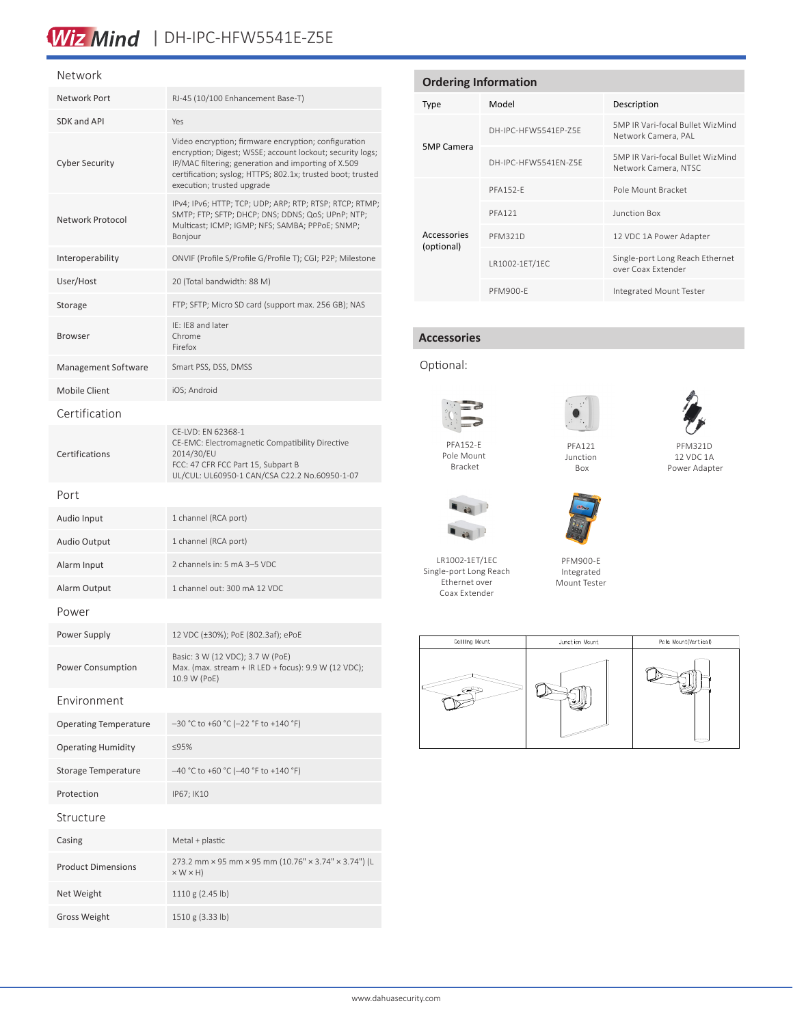# Wiz Mind | DH-IPC-HFW5541E-Z5E

#### Network

| Network Port                 | RJ-45 (10/100 Enhancement Base-T)                                                                                                                                                                                                                                     |
|------------------------------|-----------------------------------------------------------------------------------------------------------------------------------------------------------------------------------------------------------------------------------------------------------------------|
| SDK and API                  | Yes                                                                                                                                                                                                                                                                   |
| <b>Cyber Security</b>        | Video encryption; firmware encryption; configuration<br>encryption; Digest; WSSE; account lockout; security logs;<br>IP/MAC filtering; generation and importing of X.509<br>certification; syslog; HTTPS; 802.1x; trusted boot; trusted<br>execution; trusted upgrade |
| <b>Network Protocol</b>      | IPv4; IPv6; HTTP; TCP; UDP; ARP; RTP; RTSP; RTCP; RTMP;<br>SMTP; FTP; SFTP; DHCP; DNS; DDNS; QoS; UPnP; NTP;<br>Multicast; ICMP; IGMP; NFS; SAMBA; PPPoE; SNMP;<br>Bonjour                                                                                            |
| Interoperability             | ONVIF (Profile S/Profile G/Profile T); CGI; P2P; Milestone                                                                                                                                                                                                            |
| User/Host                    | 20 (Total bandwidth: 88 M)                                                                                                                                                                                                                                            |
| Storage                      | FTP; SFTP; Micro SD card (support max. 256 GB); NAS                                                                                                                                                                                                                   |
| <b>Browser</b>               | IE: IE8 and later<br>Chrome<br>Firefox                                                                                                                                                                                                                                |
| Management Software          | Smart PSS, DSS, DMSS                                                                                                                                                                                                                                                  |
| Mobile Client                | iOS; Android                                                                                                                                                                                                                                                          |
| Certification                |                                                                                                                                                                                                                                                                       |
| Certifications               | CE-LVD: EN 62368-1<br>CE-EMC: Electromagnetic Compatibility Directive<br>2014/30/EU<br>FCC: 47 CFR FCC Part 15, Subpart B<br>UL/CUL: UL60950-1 CAN/CSA C22.2 No.60950-1-07                                                                                            |
| Port                         |                                                                                                                                                                                                                                                                       |
| Audio Input                  | 1 channel (RCA port)                                                                                                                                                                                                                                                  |
| <b>Audio Output</b>          | 1 channel (RCA port)                                                                                                                                                                                                                                                  |
| Alarm Input                  | 2 channels in: 5 mA 3-5 VDC                                                                                                                                                                                                                                           |
| Alarm Output                 | 1 channel out: 300 mA 12 VDC                                                                                                                                                                                                                                          |
| Power                        |                                                                                                                                                                                                                                                                       |
| Power Supply                 | 12 VDC (±30%); PoE (802.3af); ePoE                                                                                                                                                                                                                                    |
| Power Consumption            | Basic: 3 W (12 VDC); 3.7 W (PoE)<br>Max. (max. stream + IR LED + focus): 9.9 W (12 VDC);<br>10.9 W (PoE)                                                                                                                                                              |
| Environment                  |                                                                                                                                                                                                                                                                       |
| <b>Operating Temperature</b> | $-30$ °C to +60 °C (-22 °F to +140 °F)                                                                                                                                                                                                                                |
| <b>Operating Humidity</b>    | ≤95%                                                                                                                                                                                                                                                                  |
| Storage Temperature          | $-40$ °C to +60 °C (-40 °F to +140 °F)                                                                                                                                                                                                                                |
| Protection                   | IP67; IK10                                                                                                                                                                                                                                                            |
| Structure                    |                                                                                                                                                                                                                                                                       |
| Casing                       | Metal + plastic                                                                                                                                                                                                                                                       |
| <b>Product Dimensions</b>    | 273.2 mm × 95 mm × 95 mm (10.76" × 3.74" × 3.74") (L<br>$\times$ W $\times$ H)                                                                                                                                                                                        |
| Net Weight                   | 1110 g (2.45 lb)                                                                                                                                                                                                                                                      |
| <b>Gross Weight</b>          | 1510 g (3.33 lb)                                                                                                                                                                                                                                                      |

| <b>Ordering Information</b> |                      |                                                          |  |  |
|-----------------------------|----------------------|----------------------------------------------------------|--|--|
| Type                        | Model                | Description                                              |  |  |
| <b>5MP Camera</b>           | DH-IPC-HEW5541FP-75F | 5MP IR Vari-focal Bullet WizMind<br>Network Camera, PAL  |  |  |
|                             | DH-IPC-HFW5541FN-75F | 5MP IR Vari-focal Bullet WizMind<br>Network Camera, NTSC |  |  |
| Accessories<br>(optional)   | <b>PFA152-F</b>      | Pole Mount Bracket                                       |  |  |
|                             | <b>PFA121</b>        | Junction Box                                             |  |  |
|                             | <b>PFM321D</b>       | 12 VDC 1A Power Adapter                                  |  |  |
|                             | LR1002-1ET/1EC       | Single-port Long Reach Ethernet<br>over Coax Extender    |  |  |
|                             | <b>PFM900-E</b>      | Integrated Mount Tester                                  |  |  |

### **Accessories**

Optional:



Pole Mount Bracket



PFM321D 12 VDC 1A Power Adapter



LR1002-1ET/1EC Single-port Long Reach Ethernet over

Coax Extender



Junction Box

PFM900-E Integrated Mount Tester